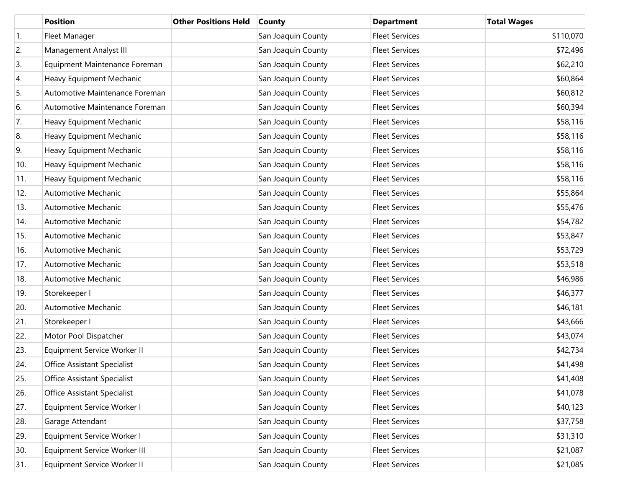|     | <b>Position</b>                    | <b>Other Positions Held</b> | <b>County</b>      | <b>Department</b>     | <b>Total Wages</b> |
|-----|------------------------------------|-----------------------------|--------------------|-----------------------|--------------------|
| 1.  | Fleet Manager                      |                             | San Joaquin County | <b>Fleet Services</b> | \$110,070          |
| 2.  | Management Analyst III             |                             | San Joaquin County | <b>Fleet Services</b> | \$72,496           |
| 3.  | Equipment Maintenance Foreman      |                             | San Joaquin County | <b>Fleet Services</b> | \$62,210           |
| 4.  | Heavy Equipment Mechanic           |                             | San Joaquin County | <b>Fleet Services</b> | \$60,864           |
| 5.  | Automotive Maintenance Foreman     |                             | San Joaquin County | <b>Fleet Services</b> | \$60,812           |
| 6.  | Automotive Maintenance Foreman     |                             | San Joaquin County | <b>Fleet Services</b> | \$60,394           |
| 7.  | Heavy Equipment Mechanic           |                             | San Joaquin County | <b>Fleet Services</b> | \$58,116           |
| 8.  | Heavy Equipment Mechanic           |                             | San Joaquin County | <b>Fleet Services</b> | \$58,116           |
| 9.  | Heavy Equipment Mechanic           |                             | San Joaquin County | <b>Fleet Services</b> | \$58,116           |
| 10. | Heavy Equipment Mechanic           |                             | San Joaquin County | <b>Fleet Services</b> | \$58,116           |
| 11. | Heavy Equipment Mechanic           |                             | San Joaquin County | <b>Fleet Services</b> | \$58,116           |
| 12. | Automotive Mechanic                |                             | San Joaquin County | <b>Fleet Services</b> | \$55,864           |
| 13. | Automotive Mechanic                |                             | San Joaquin County | <b>Fleet Services</b> | \$55,476           |
| 14. | Automotive Mechanic                |                             | San Joaquin County | <b>Fleet Services</b> | \$54,782           |
| 15. | Automotive Mechanic                |                             | San Joaquin County | <b>Fleet Services</b> | \$53,847           |
| 16. | Automotive Mechanic                |                             | San Joaquin County | <b>Fleet Services</b> | \$53,729           |
| 17. | Automotive Mechanic                |                             | San Joaquin County | <b>Fleet Services</b> | \$53,518           |
| 18. | Automotive Mechanic                |                             | San Joaquin County | <b>Fleet Services</b> | \$46,986           |
| 19. | Storekeeper I                      |                             | San Joaquin County | <b>Fleet Services</b> | \$46,377           |
| 20. | Automotive Mechanic                |                             | San Joaquin County | <b>Fleet Services</b> | \$46,181           |
| 21. | Storekeeper I                      |                             | San Joaquin County | <b>Fleet Services</b> | \$43,666           |
| 22. | Motor Pool Dispatcher              |                             | San Joaquin County | <b>Fleet Services</b> | \$43,074           |
| 23. | Equipment Service Worker II        |                             | San Joaquin County | <b>Fleet Services</b> | \$42,734           |
| 24. | <b>Office Assistant Specialist</b> |                             | San Joaquin County | <b>Fleet Services</b> | \$41,498           |
| 25. | Office Assistant Specialist        |                             | San Joaquin County | <b>Fleet Services</b> | \$41,408           |
| 26. | Office Assistant Specialist        |                             | San Joaquin County | <b>Fleet Services</b> | \$41,078           |
| 27. | Equipment Service Worker I         |                             | San Joaquin County | <b>Fleet Services</b> | \$40,123           |
| 28. | Garage Attendant                   |                             | San Joaquin County | <b>Fleet Services</b> | \$37,758           |
| 29. | Equipment Service Worker I         |                             | San Joaquin County | <b>Fleet Services</b> | \$31,310           |
| 30. | Equipment Service Worker III       |                             | San Joaquin County | <b>Fleet Services</b> | \$21,087           |
| 31. | Equipment Service Worker II        |                             | San Joaquin County | <b>Fleet Services</b> | \$21,085           |